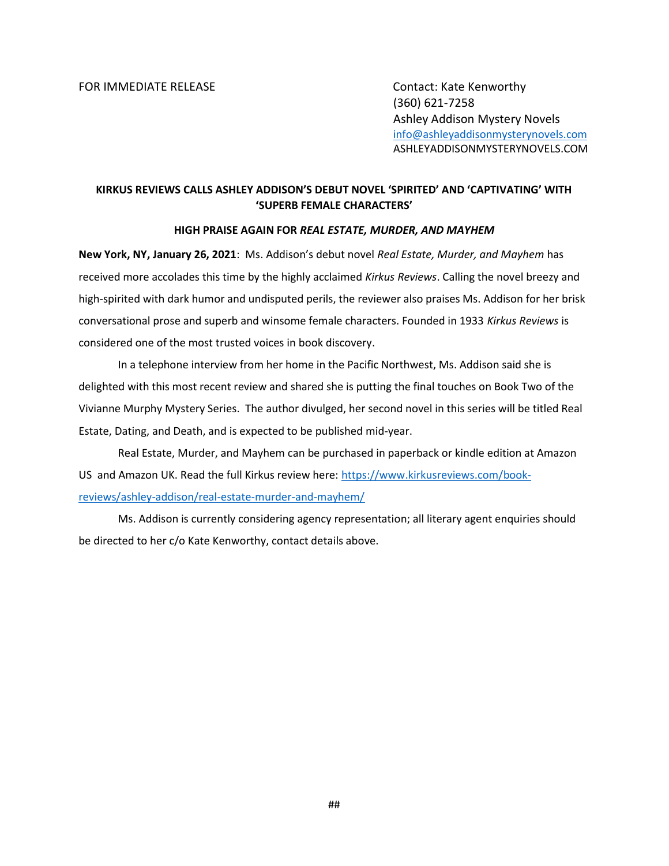(360) 621-7258 Ashley Addison Mystery Novels info@ashleyaddisonmysterynovels.com ASHLEYADDISONMYSTERYNOVELS.COM

## KIRKUS REVIEWS CALLS ASHLEY ADDISON'S DEBUT NOVEL 'SPIRITED' AND 'CAPTIVATING' WITH 'SUPERB FEMALE CHARACTERS'

## HIGH PRAISE AGAIN FOR REAL ESTATE, MURDER, AND MAYHEM

New York, NY, January 26, 2021: Ms. Addison's debut novel Real Estate, Murder, and Mayhem has received more accolades this time by the highly acclaimed Kirkus Reviews. Calling the novel breezy and high-spirited with dark humor and undisputed perils, the reviewer also praises Ms. Addison for her brisk conversational prose and superb and winsome female characters. Founded in 1933 Kirkus Reviews is considered one of the most trusted voices in book discovery.

In a telephone interview from her home in the Pacific Northwest, Ms. Addison said she is delighted with this most recent review and shared she is putting the final touches on Book Two of the Vivianne Murphy Mystery Series. The author divulged, her second novel in this series will be titled Real Estate, Dating, and Death, and is expected to be published mid-year.

Real Estate, Murder, and Mayhem can be purchased in paperback or kindle edition at Amazon US and Amazon UK. Read the full Kirkus review here: https://www.kirkusreviews.com/bookreviews/ashley-addison/real-estate-murder-and-mayhem/

Ms. Addison is currently considering agency representation; all literary agent enquiries should be directed to her c/o Kate Kenworthy, contact details above.